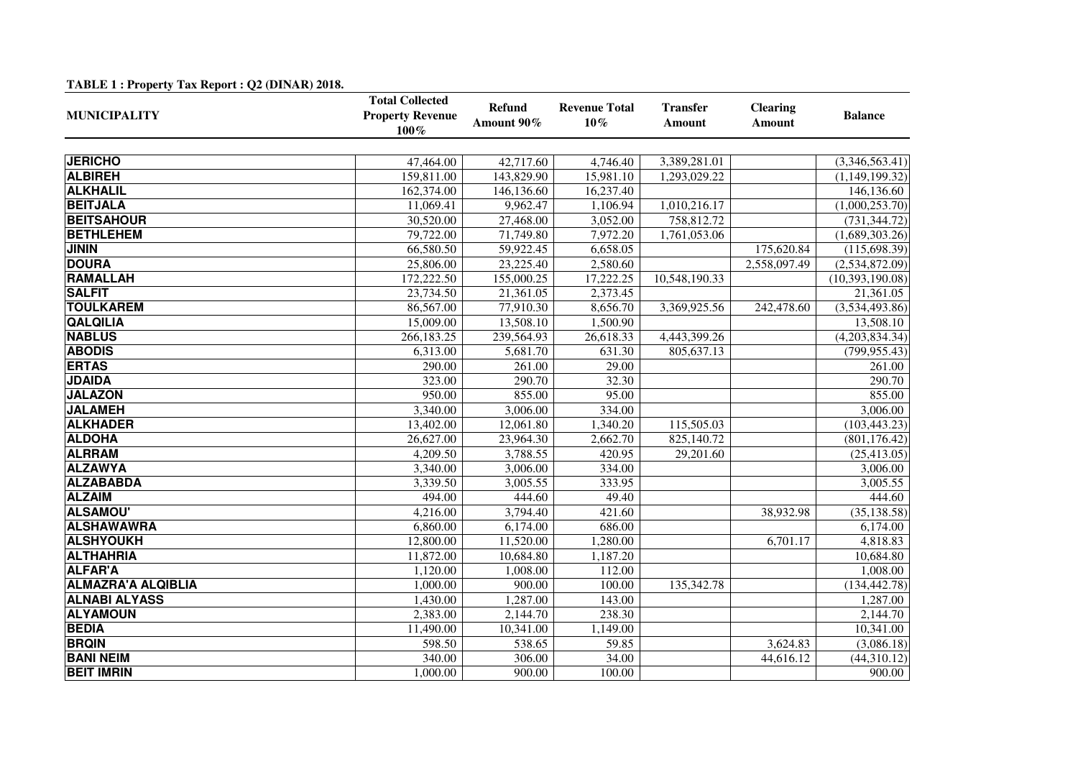| $1/10$ $1/1$ $1/1$ $1/1$ $1/1$ $1/1$ $1/1$ $1/1$ $1/1$ $1/1$ $1/1$ $1/1$ $1/1$ $1/1$ | <b>Total Collected</b>             |                             |                                |                                  |                                  |                   |
|--------------------------------------------------------------------------------------|------------------------------------|-----------------------------|--------------------------------|----------------------------------|----------------------------------|-------------------|
| <b>MUNICIPALITY</b>                                                                  | <b>Property Revenue</b><br>$100\%$ | <b>Refund</b><br>Amount 90% | <b>Revenue Total</b><br>$10\%$ | <b>Transfer</b><br><b>Amount</b> | <b>Clearing</b><br><b>Amount</b> | <b>Balance</b>    |
|                                                                                      |                                    |                             |                                |                                  |                                  |                   |
| <b>JERICHO</b>                                                                       | 47,464.00                          | 42,717.60                   | 4,746.40                       | 3,389,281.01                     |                                  | (3,346,563.41)    |
| <b>ALBIREH</b>                                                                       | 159,811.00                         | 143,829.90                  | 15,981.10                      | 1,293,029.22                     |                                  | (1,149,199.32)    |
| <b>ALKHALIL</b>                                                                      | 162,374.00                         | 146,136.60                  | 16,237.40                      |                                  |                                  | 146,136.60        |
| <b>BEITJALA</b>                                                                      | 11,069.41                          | 9,962.47                    | 1,106.94                       | 1,010,216.17                     |                                  | (1,000,253.70)    |
| <b>BEITSAHOUR</b>                                                                    | 30,520.00                          | 27,468.00                   | 3,052.00                       | 758,812.72                       |                                  | (731, 344.72)     |
| <b>BETHLEHEM</b>                                                                     | 79,722.00                          | 71,749.80                   | 7,972.20                       | 1,761,053.06                     |                                  | (1,689,303.26)    |
| <b>JININ</b>                                                                         | 66,580.50                          | 59,922.45                   | 6,658.05                       |                                  | 175,620.84                       | (115, 698.39)     |
| <b>DOURA</b>                                                                         | 25,806.00                          | 23,225.40                   | 2,580.60                       |                                  | 2,558,097.49                     | (2,534,872.09)    |
| <b>RAMALLAH</b>                                                                      | 172,222.50                         | 155,000.25                  | 17,222.25                      | 10,548,190.33                    |                                  | (10, 393, 190.08) |
| <b>SALFIT</b>                                                                        | 23,734.50                          | 21,361.05                   | 2,373.45                       |                                  |                                  | 21,361.05         |
| <b>TOULKAREM</b>                                                                     | 86,567.00                          | 77,910.30                   | 8,656.70                       | 3,369,925.56                     | 242,478.60                       | (3,534,493.86)    |
| <b>QALQILIA</b>                                                                      | 15,009.00                          | 13,508.10                   | 1,500.90                       |                                  |                                  | 13,508.10         |
| <b>NABLUS</b>                                                                        | 266,183.25                         | 239,564.93                  | 26,618.33                      | 4,443,399.26                     |                                  | (4,203,834.34)    |
| <b>ABODIS</b>                                                                        | 6,313.00                           | 5,681.70                    | 631.30                         | 805,637.13                       |                                  | (799, 955.43)     |
| <b>ERTAS</b>                                                                         | 290.00                             | 261.00                      | 29.00                          |                                  |                                  | 261.00            |
| <b>JDAIDA</b>                                                                        | 323.00                             | 290.70                      | 32.30                          |                                  |                                  | 290.70            |
| <b>JALAZON</b>                                                                       | 950.00                             | 855.00                      | 95.00                          |                                  |                                  | 855.00            |
| <b>JALAMEH</b>                                                                       | 3,340.00                           | 3,006.00                    | 334.00                         |                                  |                                  | 3,006.00          |
| <b>ALKHADER</b>                                                                      | 13,402.00                          | 12,061.80                   | 1,340.20                       | 115,505.03                       |                                  | (103, 443.23)     |
| <b>ALDOHA</b>                                                                        | 26,627.00                          | 23,964.30                   | 2,662.70                       | 825,140.72                       |                                  | (801, 176.42)     |
| <b>ALRRAM</b>                                                                        | 4,209.50                           | 3,788.55                    | 420.95                         | 29,201.60                        |                                  | (25, 413.05)      |
| <b>ALZAWYA</b>                                                                       | 3,340.00                           | 3,006.00                    | 334.00                         |                                  |                                  | 3,006.00          |
| <b>ALZABABDA</b>                                                                     | 3,339.50                           | 3,005.55                    | 333.95                         |                                  |                                  | 3,005.55          |
| <b>ALZAIM</b>                                                                        | 494.00                             | 444.60                      | 49.40                          |                                  |                                  | 444.60            |
| <b>ALSAMOU'</b>                                                                      | 4,216.00                           | 3,794.40                    | 421.60                         |                                  | 38,932.98                        | (35, 138.58)      |
| <b>ALSHAWAWRA</b>                                                                    | 6,860.00                           | 6,174.00                    | 686.00                         |                                  |                                  | 6,174.00          |
| <b>ALSHYOUKH</b>                                                                     | 12,800.00                          | 11,520.00                   | 1,280.00                       |                                  | 6,701.17                         | 4,818.83          |
| <b>ALTHAHRIA</b>                                                                     | 11,872.00                          | 10,684.80                   | 1,187.20                       |                                  |                                  | 10,684.80         |
| <b>ALFAR'A</b>                                                                       | 1,120.00                           | 1,008.00                    | 112.00                         |                                  |                                  | 1,008.00          |
| <b>ALMAZRA'A ALQIBLIA</b>                                                            | 1,000.00                           | 900.00                      | 100.00                         | 135,342.78                       |                                  | (134, 442.78)     |
| <b>ALNABI ALYASS</b>                                                                 | 1,430.00                           | 1,287.00                    | 143.00                         |                                  |                                  | 1,287.00          |
| <b>ALYAMOUN</b>                                                                      | 2,383.00                           | 2,144.70                    | 238.30                         |                                  |                                  | 2,144.70          |
| <b>BEDIA</b>                                                                         | 11,490.00                          | 10,341.00                   | 1,149.00                       |                                  |                                  | 10,341.00         |
| <b>BRQIN</b>                                                                         | 598.50                             | 538.65                      | 59.85                          |                                  | 3,624.83                         | (3,086.18)        |
| <b>BANI NEIM</b>                                                                     | 340.00                             | 306.00                      | 34.00                          |                                  | 44,616.12                        | (44,310.12)       |
| <b>BEIT IMRIN</b>                                                                    | 1,000.00                           | 900.00                      | 100.00                         |                                  |                                  | 900.00            |

## **TABLE 1 : Property Tax Report : Q2 (DINAR) 2018.**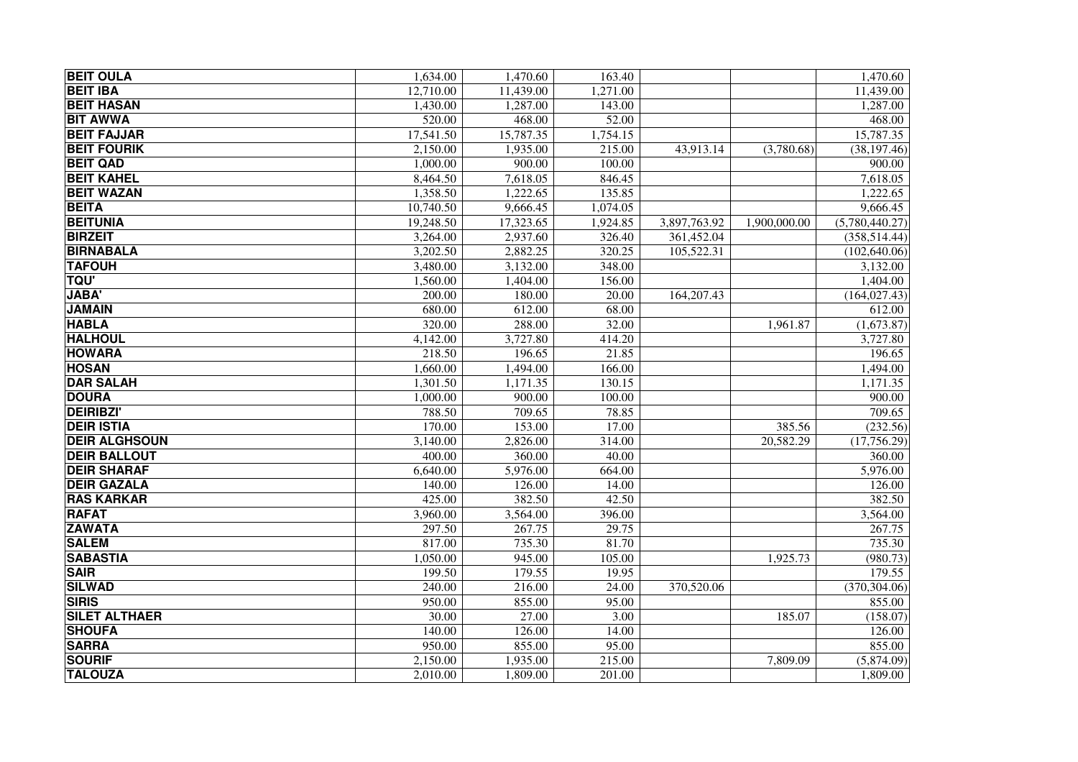| <b>BEIT OULA</b>     | 1,634.00  | 1,470.60  | 163.40   |              |              | 1,470.60       |
|----------------------|-----------|-----------|----------|--------------|--------------|----------------|
| <b>BEIT IBA</b>      | 12,710.00 | 11,439.00 | 1,271.00 |              |              | 11,439.00      |
| <b>BEIT HASAN</b>    | 1,430.00  | 1,287.00  | 143.00   |              |              | 1,287.00       |
| <b>BIT AWWA</b>      | 520.00    | 468.00    | 52.00    |              |              | 468.00         |
| <b>BEIT FAJJAR</b>   | 17,541.50 | 15,787.35 | 1,754.15 |              |              | 15,787.35      |
| <b>BEIT FOURIK</b>   | 2,150.00  | 1,935.00  | 215.00   | 43,913.14    | (3,780.68)   | (38, 197.46)   |
| <b>BEIT QAD</b>      | 1,000.00  | 900.00    | 100.00   |              |              | 900.00         |
| <b>BEIT KAHEL</b>    | 8,464.50  | 7,618.05  | 846.45   |              |              | 7,618.05       |
| <b>BEIT WAZAN</b>    | 1,358.50  | 1,222.65  | 135.85   |              |              | 1,222.65       |
| <b>BEITA</b>         | 10,740.50 | 9,666.45  | 1,074.05 |              |              | 9,666.45       |
| <b>BEITUNIA</b>      | 19,248.50 | 17,323.65 | 1,924.85 | 3,897,763.92 | 1,900,000.00 | (5,780,440.27) |
| <b>BIRZEIT</b>       | 3,264.00  | 2,937.60  | 326.40   | 361,452.04   |              | (358, 514.44)  |
| <b>BIRNABALA</b>     | 3,202.50  | 2,882.25  | 320.25   | 105,522.31   |              | (102, 640.06)  |
| <b>TAFOUH</b>        | 3,480.00  | 3,132.00  | 348.00   |              |              | 3,132.00       |
| <b>TQU'</b>          | 1,560.00  | 1,404.00  | 156.00   |              |              | 1,404.00       |
| <b>JABA'</b>         | 200.00    | 180.00    | 20.00    | 164,207.43   |              | (164, 027.43)  |
| <b>JAMAIN</b>        | 680.00    | 612.00    | 68.00    |              |              | 612.00         |
| <b>HABLA</b>         | 320.00    | 288.00    | 32.00    |              | 1,961.87     | (1,673.87)     |
| <b>HALHOUL</b>       | 4,142.00  | 3,727.80  | 414.20   |              |              | 3,727.80       |
| <b>HOWARA</b>        | 218.50    | 196.65    | 21.85    |              |              | 196.65         |
| <b>HOSAN</b>         | 1,660.00  | 1,494.00  | 166.00   |              |              | 1,494.00       |
| <b>DAR SALAH</b>     | 1,301.50  | 1,171.35  | 130.15   |              |              | 1,171.35       |
| <b>DOURA</b>         | 1,000.00  | 900.00    | 100.00   |              |              | 900.00         |
| <b>DEIRIBZI</b>      | 788.50    | 709.65    | 78.85    |              |              | 709.65         |
| <b>DEIR ISTIA</b>    | 170.00    | 153.00    | 17.00    |              | 385.56       | (232.56)       |
| <b>DEIR ALGHSOUN</b> | 3,140.00  | 2,826.00  | 314.00   |              | 20,582.29    | (17,756.29)    |
| <b>DEIR BALLOUT</b>  | 400.00    | 360.00    | 40.00    |              |              | 360.00         |
| <b>DEIR SHARAF</b>   | 6,640.00  | 5,976.00  | 664.00   |              |              | 5,976.00       |
| <b>DEIR GAZALA</b>   | 140.00    | 126.00    | 14.00    |              |              | 126.00         |
| <b>RAS KARKAR</b>    | 425.00    | 382.50    | 42.50    |              |              | 382.50         |
| <b>RAFAT</b>         | 3,960.00  | 3,564.00  | 396.00   |              |              | 3,564.00       |
| <b>ZAWATA</b>        | 297.50    | 267.75    | 29.75    |              |              | 267.75         |
| <b>SALEM</b>         | 817.00    | 735.30    | 81.70    |              |              | 735.30         |
| <b>SABASTIA</b>      | 1,050.00  | 945.00    | 105.00   |              | 1,925.73     | (980.73)       |
| <b>SAIR</b>          | 199.50    | 179.55    | 19.95    |              |              | 179.55         |
| <b>SILWAD</b>        | 240.00    | 216.00    | 24.00    | 370,520.06   |              | (370, 304.06)  |
| <b>SIRIS</b>         | 950.00    | 855.00    | 95.00    |              |              | 855.00         |
| <b>SILET ALTHAER</b> | 30.00     | 27.00     | 3.00     |              | 185.07       | (158.07)       |
| <b>SHOUFA</b>        | 140.00    | 126.00    | 14.00    |              |              | 126.00         |
| <b>SARRA</b>         | 950.00    | 855.00    | 95.00    |              |              | 855.00         |
| <b>SOURIF</b>        | 2,150.00  | 1,935.00  | 215.00   |              | 7,809.09     | (5,874.09)     |
| <b>TALOUZA</b>       | 2,010.00  | 1,809.00  | 201.00   |              |              | 1,809.00       |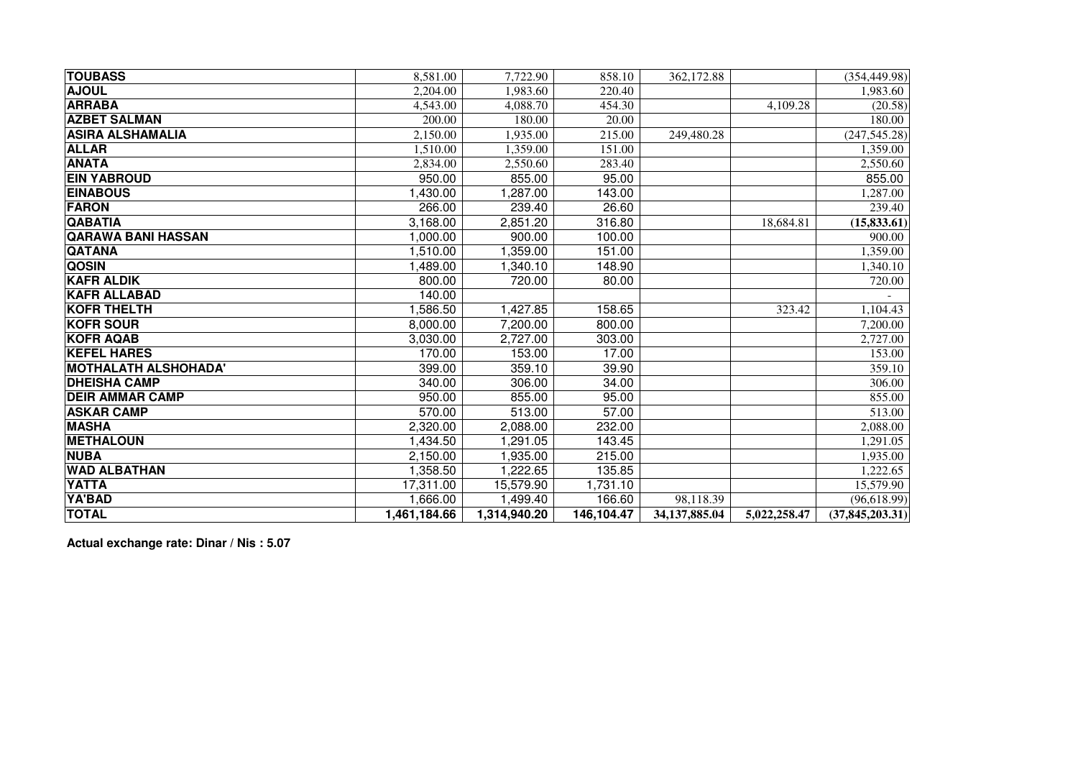| <b>TOUBASS</b>              | 8,581.00     | 7.722.90     | 858.10     | 362,172.88    |              | (354, 449.98)     |
|-----------------------------|--------------|--------------|------------|---------------|--------------|-------------------|
| <b>AJOUL</b>                | 2,204.00     | 1,983.60     | 220.40     |               |              | 1,983.60          |
| <b>ARRABA</b>               | 4,543.00     | 4,088.70     | 454.30     |               | 4,109.28     | (20.58)           |
| <b>AZBET SALMAN</b>         | 200.00       | 180.00       | 20.00      |               |              | 180.00            |
| <b>ASIRA ALSHAMALIA</b>     | 2,150.00     | 1,935.00     | 215.00     | 249,480.28    |              | (247, 545.28)     |
| <b>ALLAR</b>                | 1,510.00     | 1,359.00     | 151.00     |               |              | 1,359.00          |
| <b>ANATA</b>                | 2,834.00     | 2,550.60     | 283.40     |               |              | 2,550.60          |
| <b>EIN YABROUD</b>          | 950.00       | 855.00       | 95.00      |               |              | 855.00            |
| <b>EINABOUS</b>             | 1,430.00     | 1,287.00     | 143.00     |               |              | 1.287.00          |
| <b>FARON</b>                | 266.00       | 239.40       | 26.60      |               |              | 239.40            |
| <b>QABATIA</b>              | 3,168.00     | 2,851.20     | 316.80     |               | 18,684.81    | (15, 833.61)      |
| <b>QARAWA BANI HASSAN</b>   | 1,000.00     | 900.00       | 100.00     |               |              | 900.00            |
| <b>QATANA</b>               | 1,510.00     | 1,359.00     | 151.00     |               |              | 1,359.00          |
| <b>QOSIN</b>                | 1,489.00     | 1,340.10     | 148.90     |               |              | 1,340.10          |
| <b>KAFR ALDIK</b>           | 800.00       | 720.00       | 80.00      |               |              | 720.00            |
| <b>KAFR ALLABAD</b>         | 140.00       |              |            |               |              |                   |
| <b>KOFR THELTH</b>          | 1,586.50     | 1,427.85     | 158.65     |               | 323.42       | 1,104.43          |
| <b>KOFR SOUR</b>            | 8,000.00     | 7,200.00     | 800.00     |               |              | 7,200.00          |
| <b>KOFR AQAB</b>            | 3,030.00     | 2,727.00     | 303.00     |               |              | 2,727.00          |
| <b>KEFEL HARES</b>          | 170.00       | 153.00       | 17.00      |               |              | 153.00            |
| <b>MOTHALATH ALSHOHADA'</b> | 399.00       | 359.10       | 39.90      |               |              | 359.10            |
| <b>DHEISHA CAMP</b>         | 340.00       | 306.00       | 34.00      |               |              | 306.00            |
| <b>DEIR AMMAR CAMP</b>      | 950.00       | 855.00       | 95.00      |               |              | 855.00            |
| <b>ASKAR CAMP</b>           | 570.00       | 513.00       | 57.00      |               |              | 513.00            |
| <b>MASHA</b>                | 2,320.00     | 2,088.00     | 232.00     |               |              | 2,088.00          |
| <b>METHALOUN</b>            | 1,434.50     | 1,291.05     | 143.45     |               |              | 1,291.05          |
| <b>NUBA</b>                 | 2,150.00     | 1,935.00     | 215.00     |               |              | 1,935.00          |
| <b>WAD ALBATHAN</b>         | 1,358.50     | 1,222.65     | 135.85     |               |              | 1,222.65          |
| <b>YATTA</b>                | 17,311.00    | 15,579.90    | 1,731.10   |               |              | 15,579.90         |
| YA'BAD                      | 1,666.00     | 1,499.40     | 166.60     | 98,118.39     |              | (96, 618.99)      |
| <b>TOTAL</b>                | 1,461,184.66 | 1,314,940.20 | 146,104.47 | 34,137,885.04 | 5,022,258.47 | (37, 845, 203.31) |

**Actual exchange rate: Dinar / Nis : 5.07**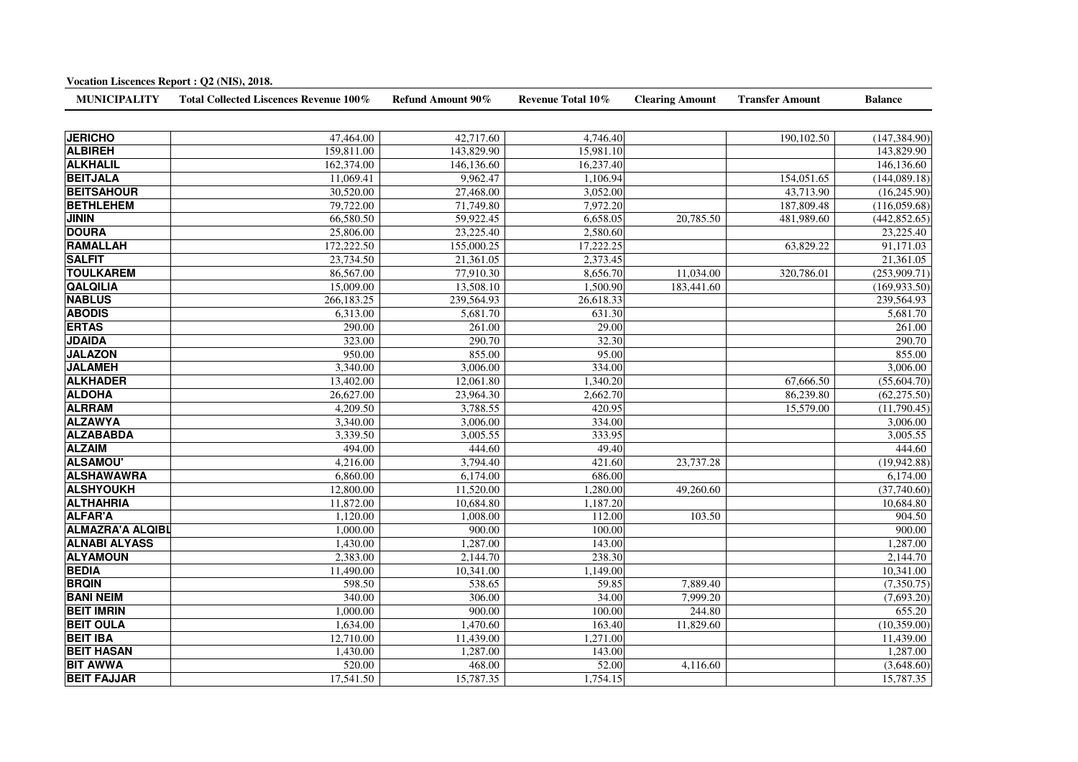| Total Collected Liscences Revenue 100%<br>Refund Amount 90%<br>Revenue Total 10%<br><b>MUNICIPALITY</b><br><b>Clearing Amount</b><br><b>JERICHO</b><br>47,464.00<br>42,717.60<br>4,746.40<br><b>ALBIREH</b><br>159,811.00<br>143,829.90<br>15,981.10<br><b>ALKHALIL</b><br>162,374.00<br>146,136.60<br>16,237.40<br><b>BEITJALA</b><br>11,069.41<br>9,962.47<br>1,106.94<br><b>BEITSAHOUR</b><br>30,520.00<br>3,052.00<br>27,468.00<br><b>BETHLEHEM</b><br>79,722.00<br>71,749.80<br>7,972.20<br><b>JININ</b><br>66,580.50<br>59,922.45<br>6,658.05<br>20,785.50<br><b>DOURA</b><br>25,806.00<br>23,225.40<br>2,580.60<br><b>RAMALLAH</b><br>172,222.50<br>17,222.25<br>155,000.25<br><b>SALFIT</b><br>23,734.50<br>21,361.05<br>2,373.45<br><b>TOULKAREM</b><br>86,567.00<br>77,910.30<br>8,656.70<br>11,034.00<br><b>QALQILIA</b><br>15,009.00<br>13,508.10<br>1,500.90<br>183,441.60<br><b>NABLUS</b><br>266,183.25<br>239,564.93<br>26,618.33<br><b>ABODIS</b><br>6,313.00<br>5,681.70<br>631.30<br><b>ERTAS</b><br>290.00<br>261.00<br>29.00 | <b>Transfer Amount</b> | <b>Balance</b>          |
|---------------------------------------------------------------------------------------------------------------------------------------------------------------------------------------------------------------------------------------------------------------------------------------------------------------------------------------------------------------------------------------------------------------------------------------------------------------------------------------------------------------------------------------------------------------------------------------------------------------------------------------------------------------------------------------------------------------------------------------------------------------------------------------------------------------------------------------------------------------------------------------------------------------------------------------------------------------------------------------------------------------------------------------------------|------------------------|-------------------------|
|                                                                                                                                                                                                                                                                                                                                                                                                                                                                                                                                                                                                                                                                                                                                                                                                                                                                                                                                                                                                                                                   |                        |                         |
|                                                                                                                                                                                                                                                                                                                                                                                                                                                                                                                                                                                                                                                                                                                                                                                                                                                                                                                                                                                                                                                   | 190,102.50             | (147, 384.90)           |
|                                                                                                                                                                                                                                                                                                                                                                                                                                                                                                                                                                                                                                                                                                                                                                                                                                                                                                                                                                                                                                                   |                        | 143,829.90              |
|                                                                                                                                                                                                                                                                                                                                                                                                                                                                                                                                                                                                                                                                                                                                                                                                                                                                                                                                                                                                                                                   |                        | 146,136.60              |
|                                                                                                                                                                                                                                                                                                                                                                                                                                                                                                                                                                                                                                                                                                                                                                                                                                                                                                                                                                                                                                                   | 154,051.65             | (144,089.18)            |
|                                                                                                                                                                                                                                                                                                                                                                                                                                                                                                                                                                                                                                                                                                                                                                                                                                                                                                                                                                                                                                                   | 43,713.90              | (16,245.90)             |
|                                                                                                                                                                                                                                                                                                                                                                                                                                                                                                                                                                                                                                                                                                                                                                                                                                                                                                                                                                                                                                                   | 187,809.48             | (116,059.68)            |
|                                                                                                                                                                                                                                                                                                                                                                                                                                                                                                                                                                                                                                                                                                                                                                                                                                                                                                                                                                                                                                                   | 481,989.60             | (442, 852.65)           |
|                                                                                                                                                                                                                                                                                                                                                                                                                                                                                                                                                                                                                                                                                                                                                                                                                                                                                                                                                                                                                                                   |                        | 23,225.40               |
|                                                                                                                                                                                                                                                                                                                                                                                                                                                                                                                                                                                                                                                                                                                                                                                                                                                                                                                                                                                                                                                   | 63,829.22              | 91,171.03               |
|                                                                                                                                                                                                                                                                                                                                                                                                                                                                                                                                                                                                                                                                                                                                                                                                                                                                                                                                                                                                                                                   |                        | 21,361.05               |
|                                                                                                                                                                                                                                                                                                                                                                                                                                                                                                                                                                                                                                                                                                                                                                                                                                                                                                                                                                                                                                                   | 320,786.01             | (253,909.71)            |
|                                                                                                                                                                                                                                                                                                                                                                                                                                                                                                                                                                                                                                                                                                                                                                                                                                                                                                                                                                                                                                                   |                        | (169, 933.50)           |
|                                                                                                                                                                                                                                                                                                                                                                                                                                                                                                                                                                                                                                                                                                                                                                                                                                                                                                                                                                                                                                                   |                        | 239,564.93              |
|                                                                                                                                                                                                                                                                                                                                                                                                                                                                                                                                                                                                                                                                                                                                                                                                                                                                                                                                                                                                                                                   |                        | 5,681.70                |
|                                                                                                                                                                                                                                                                                                                                                                                                                                                                                                                                                                                                                                                                                                                                                                                                                                                                                                                                                                                                                                                   |                        | 261.00                  |
| <b>JDAIDA</b><br>323.00<br>290.70<br>32.30                                                                                                                                                                                                                                                                                                                                                                                                                                                                                                                                                                                                                                                                                                                                                                                                                                                                                                                                                                                                        |                        | 290.70                  |
| <b>JALAZON</b><br>950.00<br>855.00<br>95.00                                                                                                                                                                                                                                                                                                                                                                                                                                                                                                                                                                                                                                                                                                                                                                                                                                                                                                                                                                                                       |                        | 855.00                  |
| <b>JALAMEH</b><br>3,340.00<br>3,006.00<br>334.00                                                                                                                                                                                                                                                                                                                                                                                                                                                                                                                                                                                                                                                                                                                                                                                                                                                                                                                                                                                                  |                        | 3,006.00                |
| <b>ALKHADER</b><br>13,402.00<br>12,061.80<br>1,340.20                                                                                                                                                                                                                                                                                                                                                                                                                                                                                                                                                                                                                                                                                                                                                                                                                                                                                                                                                                                             | 67,666.50              | (55,604.70)             |
| <b>ALDOHA</b><br>26,627.00<br>23,964.30<br>2,662.70                                                                                                                                                                                                                                                                                                                                                                                                                                                                                                                                                                                                                                                                                                                                                                                                                                                                                                                                                                                               | 86,239.80              | (62, 275.50)            |
| <b>ALRRAM</b><br>4,209.50<br>3,788.55<br>420.95                                                                                                                                                                                                                                                                                                                                                                                                                                                                                                                                                                                                                                                                                                                                                                                                                                                                                                                                                                                                   | 15,579.00              | (11,790.45)             |
| <b>ALZAWYA</b><br>3,340.00<br>3,006.00<br>334.00                                                                                                                                                                                                                                                                                                                                                                                                                                                                                                                                                                                                                                                                                                                                                                                                                                                                                                                                                                                                  |                        | $\overline{3,006.00}$   |
| <b>ALZABABDA</b><br>3,339.50<br>3,005.55<br>333.95                                                                                                                                                                                                                                                                                                                                                                                                                                                                                                                                                                                                                                                                                                                                                                                                                                                                                                                                                                                                |                        | 3,005.55                |
| <b>ALZAIM</b><br>494.00<br>49.40<br>444.60                                                                                                                                                                                                                                                                                                                                                                                                                                                                                                                                                                                                                                                                                                                                                                                                                                                                                                                                                                                                        |                        | 444.60                  |
| <b>ALSAMOU'</b><br>4,216.00<br>421.60<br>23,737.28<br>3,794.40                                                                                                                                                                                                                                                                                                                                                                                                                                                                                                                                                                                                                                                                                                                                                                                                                                                                                                                                                                                    |                        | (19,942.88)             |
| <b>ALSHAWAWRA</b><br>6,860.00<br>6,174.00<br>686.00                                                                                                                                                                                                                                                                                                                                                                                                                                                                                                                                                                                                                                                                                                                                                                                                                                                                                                                                                                                               |                        | 6,174.00                |
| <b>ALSHYOUKH</b><br>12,800.00<br>11,520.00<br>1,280.00<br>49,260.60                                                                                                                                                                                                                                                                                                                                                                                                                                                                                                                                                                                                                                                                                                                                                                                                                                                                                                                                                                               |                        | (37,740.60)             |
| <b>ALTHAHRIA</b><br>11,872.00<br>10,684.80<br>1,187.20                                                                                                                                                                                                                                                                                                                                                                                                                                                                                                                                                                                                                                                                                                                                                                                                                                                                                                                                                                                            |                        | 10,684.80               |
| <b>ALFAR'A</b><br>1,120.00<br>1,008.00<br>112.00<br>103.50                                                                                                                                                                                                                                                                                                                                                                                                                                                                                                                                                                                                                                                                                                                                                                                                                                                                                                                                                                                        |                        | 904.50                  |
| <b>ALMAZRA'A ALQIBL</b><br>1,000.00<br>900.00<br>100.00                                                                                                                                                                                                                                                                                                                                                                                                                                                                                                                                                                                                                                                                                                                                                                                                                                                                                                                                                                                           |                        | 900.00                  |
| <b>ALNABI ALYASS</b><br>1,430.00<br>1,287.00<br>143.00                                                                                                                                                                                                                                                                                                                                                                                                                                                                                                                                                                                                                                                                                                                                                                                                                                                                                                                                                                                            |                        | 1,287.00                |
| <b>ALYAMOUN</b><br>2,383.00<br>2,144.70<br>238.30                                                                                                                                                                                                                                                                                                                                                                                                                                                                                                                                                                                                                                                                                                                                                                                                                                                                                                                                                                                                 |                        | 2,144.70                |
| <b>BEDIA</b><br>10,341.00<br>11,490.00<br>1,149.00                                                                                                                                                                                                                                                                                                                                                                                                                                                                                                                                                                                                                                                                                                                                                                                                                                                                                                                                                                                                |                        | 10,341.00               |
| <b>BRQIN</b><br>598.50<br>538.65<br>59.85<br>7,889.40                                                                                                                                                                                                                                                                                                                                                                                                                                                                                                                                                                                                                                                                                                                                                                                                                                                                                                                                                                                             |                        | (7,350.75)              |
| <b>BANI NEIM</b><br>340.00<br>306.00<br>34.00<br>7,999.20                                                                                                                                                                                                                                                                                                                                                                                                                                                                                                                                                                                                                                                                                                                                                                                                                                                                                                                                                                                         |                        | $\overline{(7,693.20)}$ |
| <b>BEIT IMRIN</b><br>1,000.00<br>900.00<br>244.80<br>100.00                                                                                                                                                                                                                                                                                                                                                                                                                                                                                                                                                                                                                                                                                                                                                                                                                                                                                                                                                                                       |                        | 655.20                  |
| <b>BEIT OULA</b><br>1,634.00<br>1,470.60<br>163.40<br>11,829.60                                                                                                                                                                                                                                                                                                                                                                                                                                                                                                                                                                                                                                                                                                                                                                                                                                                                                                                                                                                   |                        | (10,359.00)             |
| <b>BEIT IBA</b><br>12,710.00<br>11,439.00<br>1,271.00                                                                                                                                                                                                                                                                                                                                                                                                                                                                                                                                                                                                                                                                                                                                                                                                                                                                                                                                                                                             |                        | 11,439.00               |
| <b>BEIT HASAN</b><br>1,430.00<br>1,287.00<br>143.00                                                                                                                                                                                                                                                                                                                                                                                                                                                                                                                                                                                                                                                                                                                                                                                                                                                                                                                                                                                               |                        | 1,287.00                |
| <b>BIT AWWA</b><br>520.00<br>468.00<br>52.00<br>4,116.60                                                                                                                                                                                                                                                                                                                                                                                                                                                                                                                                                                                                                                                                                                                                                                                                                                                                                                                                                                                          |                        | (3,648.60)              |
| <b>BEIT FAJJAR</b><br>17,541.50<br>15,787.35<br>1,754.15                                                                                                                                                                                                                                                                                                                                                                                                                                                                                                                                                                                                                                                                                                                                                                                                                                                                                                                                                                                          |                        | 15,787.35               |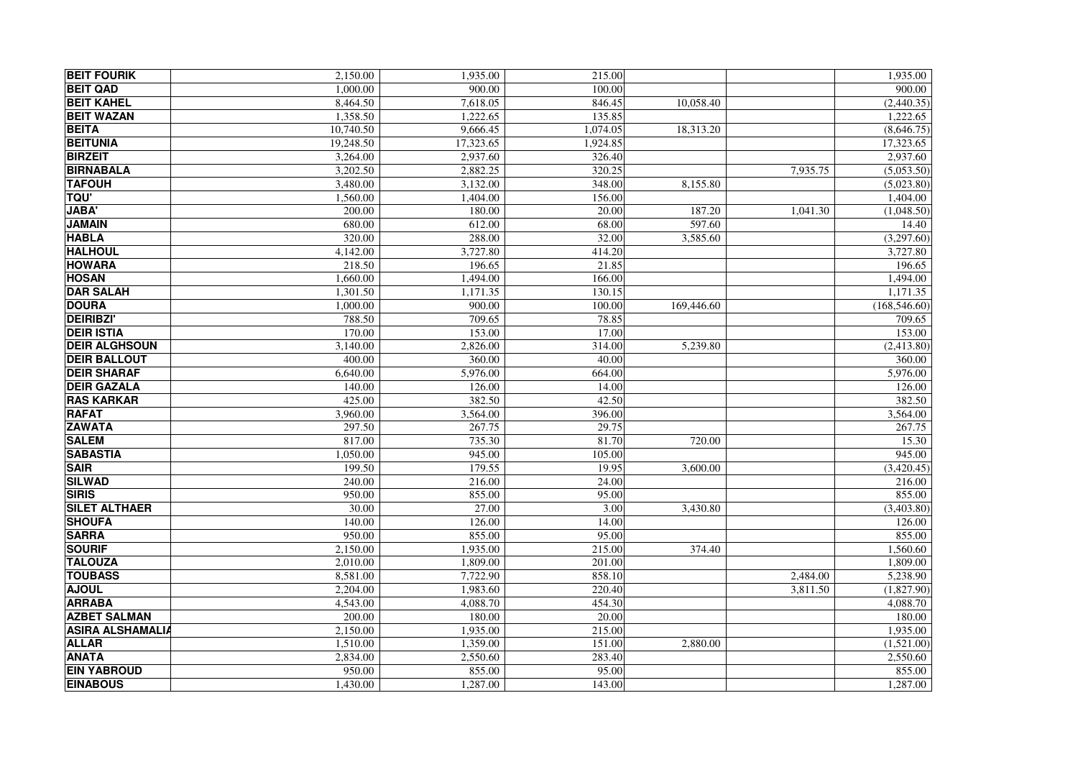| <b>BEIT FOURIK</b>      | 2.150.00  | 1,935.00  | 215.00   |            |          | 1,935.00      |
|-------------------------|-----------|-----------|----------|------------|----------|---------------|
| <b>BEIT QAD</b>         | 1,000.00  | 900.00    | 100.00   |            |          | 900.00        |
| <b>BEIT KAHEL</b>       | 8,464.50  | 7,618.05  | 846.45   | 10,058.40  |          | (2,440.35)    |
| <b>BEIT WAZAN</b>       | 1,358.50  | 1.222.65  | 135.85   |            |          | 1,222.65      |
| <b>BEITA</b>            | 10,740.50 | 9,666.45  | 1,074.05 | 18,313.20  |          | (8,646.75)    |
| <b>BEITUNIA</b>         | 19,248.50 | 17,323.65 | 1,924.85 |            |          | 17,323.65     |
| <b>BIRZEIT</b>          | 3,264.00  | 2,937.60  | 326.40   |            |          | 2,937.60      |
| <b>BIRNABALA</b>        | 3,202.50  | 2,882.25  | 320.25   |            | 7,935.75 | (5,053.50)    |
| <b>TAFOUH</b>           | 3,480.00  | 3,132.00  | 348.00   | 8,155.80   |          | (5,023.80)    |
| <b>TQU'</b>             | 1,560.00  | 1,404.00  | 156.00   |            |          | 1,404.00      |
| <b>JABA</b>             | 200.00    | 180.00    | 20.00    | 187.20     | 1,041.30 | (1,048.50)    |
| <b>JAMAIN</b>           | 680.00    | 612.00    | 68.00    | 597.60     |          | 14.40         |
| <b>HABLA</b>            | 320.00    | 288.00    | 32.00    | 3,585.60   |          | (3,297.60)    |
| <b>HALHOUL</b>          | 4,142.00  | 3,727.80  | 414.20   |            |          | 3,727.80      |
| <b>HOWARA</b>           | 218.50    | 196.65    | 21.85    |            |          | 196.65        |
| <b>HOSAN</b>            | 1,660.00  | 1,494.00  | 166.00   |            |          | 1,494.00      |
| <b>DAR SALAH</b>        | 1,301.50  | 1,171.35  | 130.15   |            |          | 1,171.35      |
| <b>DOURA</b>            | 1.000.00  | 900.00    | 100.00   | 169,446.60 |          | (168, 546.60) |
| <b>DEIRIBZI'</b>        | 788.50    | 709.65    | 78.85    |            |          | 709.65        |
| <b>DEIR ISTIA</b>       | 170.00    | 153.00    | 17.00    |            |          | 153.00        |
| <b>DEIR ALGHSOUN</b>    | 3,140.00  | 2,826.00  | 314.00   | 5,239.80   |          | (2,413.80)    |
| <b>DEIR BALLOUT</b>     | 400.00    | 360.00    | 40.00    |            |          | 360.00        |
| <b>DEIR SHARAF</b>      | 6,640.00  | 5,976.00  | 664.00   |            |          | 5,976.00      |
| <b>DEIR GAZALA</b>      | 140.00    | 126.00    | 14.00    |            |          | 126.00        |
| <b>RAS KARKAR</b>       | 425.00    | 382.50    | 42.50    |            |          | 382.50        |
| <b>RAFAT</b>            | 3,960.00  | 3,564.00  | 396.00   |            |          | 3,564.00      |
| <b>ZAWATA</b>           | 297.50    | 267.75    | 29.75    |            |          | 267.75        |
| <b>SALEM</b>            | 817.00    | 735.30    | 81.70    | 720.00     |          | 15.30         |
| <b>SABASTIA</b>         | 1,050.00  | 945.00    | 105.00   |            |          | 945.00        |
| <b>SAIR</b>             | 199.50    | 179.55    | 19.95    | 3.600.00   |          | (3,420.45)    |
| <b>SILWAD</b>           | 240.00    | 216.00    | 24.00    |            |          | 216.00        |
| <b>SIRIS</b>            | 950.00    | 855.00    | 95.00    |            |          | 855.00        |
| <b>SILET ALTHAER</b>    | 30.00     | 27.00     | 3.00     | 3,430.80   |          | (3,403.80)    |
| <b>SHOUFA</b>           | 140.00    | 126.00    | 14.00    |            |          | 126.00        |
| <b>SARRA</b>            | 950.00    | 855.00    | 95.00    |            |          | 855.00        |
| <b>SOURIF</b>           | 2,150.00  | 1,935.00  | 215.00   | 374.40     |          | 1,560.60      |
| <b>TALOUZA</b>          | 2,010.00  | 1,809.00  | 201.00   |            |          | 1,809.00      |
| <b>TOUBASS</b>          | 8.581.00  | 7,722.90  | 858.10   |            | 2,484.00 | 5,238.90      |
| <b>AJOUL</b>            | 2,204.00  | 1,983.60  | 220.40   |            | 3,811.50 | (1,827.90)    |
| <b>ARRABA</b>           | 4,543.00  | 4.088.70  | 454.30   |            |          | 4,088.70      |
| <b>AZBET SALMAN</b>     | 200.00    | 180.00    | 20.00    |            |          | 180.00        |
| <b>ASIRA ALSHAMALIA</b> | 2,150.00  | 1,935.00  | 215.00   |            |          | 1,935.00      |
| <b>ALLAR</b>            | 1,510.00  | 1,359.00  | 151.00   | 2,880.00   |          | (1,521.00)    |
| <b>ANATA</b>            | 2.834.00  | 2.550.60  | 283.40   |            |          | 2,550.60      |
| <b>EIN YABROUD</b>      | 950.00    | 855.00    | 95.00    |            |          | 855.00        |
| <b>EINABOUS</b>         | 1,430.00  | 1,287.00  | 143.00   |            |          | 1,287.00      |